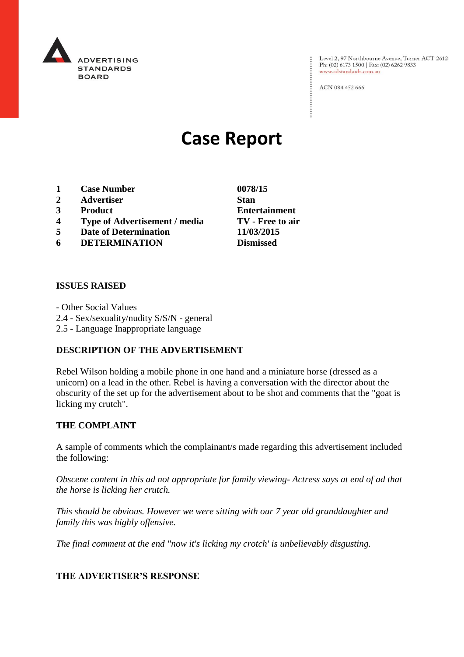

Level 2, 97 Northbourne Avenue, Turner ACT 2612<br>Ph: (02) 6173 1500 | Fax: (02) 6262 9833 www.adstandards.com.au

ACN 084 452 666

# **Case Report**

- **1 Case Number 0078/15**
- **2 Advertiser Stan**
- **3 Product Entertainment**
- **4 Type of Advertisement / media TV - Free to air**
- **5 Date of Determination 11/03/2015**
- **6 DETERMINATION Dismissed**

#### **ISSUES RAISED**

- Other Social Values 2.4 - Sex/sexuality/nudity S/S/N - general 2.5 - Language Inappropriate language

#### **DESCRIPTION OF THE ADVERTISEMENT**

Rebel Wilson holding a mobile phone in one hand and a miniature horse (dressed as a unicorn) on a lead in the other. Rebel is having a conversation with the director about the obscurity of the set up for the advertisement about to be shot and comments that the "goat is licking my crutch".

#### **THE COMPLAINT**

A sample of comments which the complainant/s made regarding this advertisement included the following:

*Obscene content in this ad not appropriate for family viewing- Actress says at end of ad that the horse is licking her crutch.* 

*This should be obvious. However we were sitting with our 7 year old granddaughter and family this was highly offensive.*

*The final comment at the end "now it's licking my crotch' is unbelievably disgusting.*

#### **THE ADVERTISER'S RESPONSE**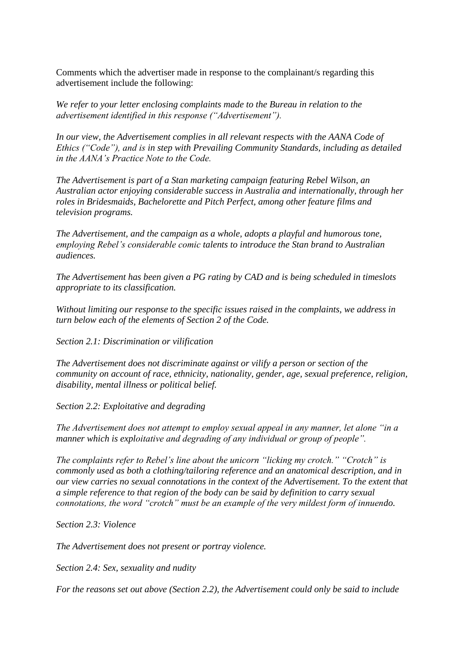Comments which the advertiser made in response to the complainant/s regarding this advertisement include the following:

*We refer to your letter enclosing complaints made to the Bureau in relation to the advertisement identified in this response ("Advertisement").*

*In our view, the Advertisement complies in all relevant respects with the AANA Code of Ethics ("Code"), and is in step with Prevailing Community Standards, including as detailed in the AANA's Practice Note to the Code.* 

*The Advertisement is part of a Stan marketing campaign featuring Rebel Wilson, an Australian actor enjoying considerable success in Australia and internationally, through her roles in Bridesmaids, Bachelorette and Pitch Perfect, among other feature films and television programs.* 

*The Advertisement, and the campaign as a whole, adopts a playful and humorous tone, employing Rebel's considerable comic talents to introduce the Stan brand to Australian audiences.* 

*The Advertisement has been given a PG rating by CAD and is being scheduled in timeslots appropriate to its classification.* 

*Without limiting our response to the specific issues raised in the complaints, we address in turn below each of the elements of Section 2 of the Code.* 

*Section 2.1: Discrimination or vilification*

*The Advertisement does not discriminate against or vilify a person or section of the community on account of race, ethnicity, nationality, gender, age, sexual preference, religion, disability, mental illness or political belief.*

*Section 2.2: Exploitative and degrading*

*The Advertisement does not attempt to employ sexual appeal in any manner, let alone "in a manner which is exploitative and degrading of any individual or group of people".* 

*The complaints refer to Rebel's line about the unicorn "licking my crotch." "Crotch" is commonly used as both a clothing/tailoring reference and an anatomical description, and in our view carries no sexual connotations in the context of the Advertisement. To the extent that a simple reference to that region of the body can be said by definition to carry sexual connotations, the word "crotch" must be an example of the very mildest form of innuendo.* 

*Section 2.3: Violence*

*The Advertisement does not present or portray violence.* 

*Section 2.4: Sex, sexuality and nudity*

*For the reasons set out above (Section 2.2), the Advertisement could only be said to include*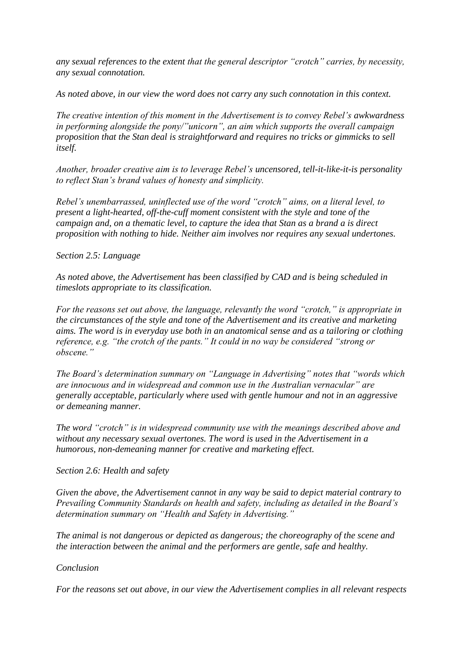*any sexual references to the extent that the general descriptor "crotch" carries, by necessity, any sexual connotation.*

*As noted above, in our view the word does not carry any such connotation in this context.* 

*The creative intention of this moment in the Advertisement is to convey Rebel's awkwardness in performing alongside the pony/"unicorn", an aim which supports the overall campaign proposition that the Stan deal is straightforward and requires no tricks or gimmicks to sell itself.* 

*Another, broader creative aim is to leverage Rebel's uncensored, tell-it-like-it-is personality to reflect Stan's brand values of honesty and simplicity.* 

*Rebel's unembarrassed, uninflected use of the word "crotch" aims, on a literal level, to present a light-hearted, off-the-cuff moment consistent with the style and tone of the campaign and, on a thematic level, to capture the idea that Stan as a brand a is direct proposition with nothing to hide. Neither aim involves nor requires any sexual undertones.* 

## *Section 2.5: Language*

*As noted above, the Advertisement has been classified by CAD and is being scheduled in timeslots appropriate to its classification.* 

*For the reasons set out above, the language, relevantly the word "crotch," is appropriate in the circumstances of the style and tone of the Advertisement and its creative and marketing aims. The word is in everyday use both in an anatomical sense and as a tailoring or clothing reference, e.g. "the crotch of the pants." It could in no way be considered "strong or obscene."*

*The Board's determination summary on "Language in Advertising" notes that "words which are innocuous and in widespread and common use in the Australian vernacular" are generally acceptable, particularly where used with gentle humour and not in an aggressive or demeaning manner.* 

*The word "crotch" is in widespread community use with the meanings described above and without any necessary sexual overtones. The word is used in the Advertisement in a humorous, non-demeaning manner for creative and marketing effect.*

## *Section 2.6: Health and safety*

*Given the above, the Advertisement cannot in any way be said to depict material contrary to Prevailing Community Standards on health and safety, including as detailed in the Board's determination summary on "Health and Safety in Advertising."*

*The animal is not dangerous or depicted as dangerous; the choreography of the scene and the interaction between the animal and the performers are gentle, safe and healthy.* 

## *Conclusion*

*For the reasons set out above, in our view the Advertisement complies in all relevant respects*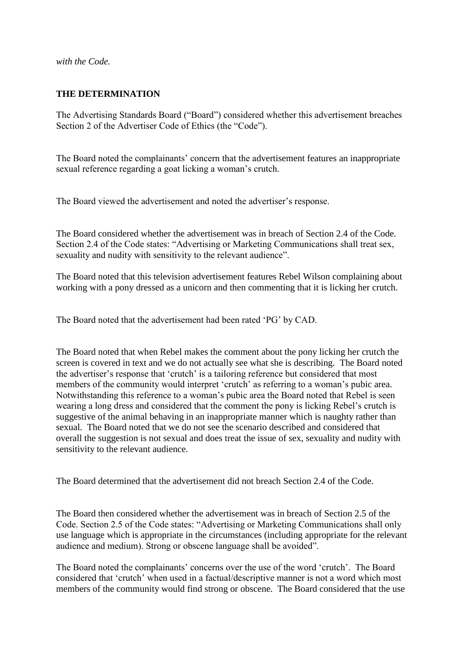*with the Code.*

### **THE DETERMINATION**

The Advertising Standards Board ("Board") considered whether this advertisement breaches Section 2 of the Advertiser Code of Ethics (the "Code").

The Board noted the complainants' concern that the advertisement features an inappropriate sexual reference regarding a goat licking a woman's crutch.

The Board viewed the advertisement and noted the advertiser's response.

The Board considered whether the advertisement was in breach of Section 2.4 of the Code. Section 2.4 of the Code states: "Advertising or Marketing Communications shall treat sex, sexuality and nudity with sensitivity to the relevant audience".

The Board noted that this television advertisement features Rebel Wilson complaining about working with a pony dressed as a unicorn and then commenting that it is licking her crutch.

The Board noted that the advertisement had been rated 'PG' by CAD.

The Board noted that when Rebel makes the comment about the pony licking her crutch the screen is covered in text and we do not actually see what she is describing. The Board noted the advertiser's response that 'crutch' is a tailoring reference but considered that most members of the community would interpret 'crutch' as referring to a woman's pubic area. Notwithstanding this reference to a woman's pubic area the Board noted that Rebel is seen wearing a long dress and considered that the comment the pony is licking Rebel's crutch is suggestive of the animal behaving in an inappropriate manner which is naughty rather than sexual. The Board noted that we do not see the scenario described and considered that overall the suggestion is not sexual and does treat the issue of sex, sexuality and nudity with sensitivity to the relevant audience.

The Board determined that the advertisement did not breach Section 2.4 of the Code.

The Board then considered whether the advertisement was in breach of Section 2.5 of the Code. Section 2.5 of the Code states: "Advertising or Marketing Communications shall only use language which is appropriate in the circumstances (including appropriate for the relevant audience and medium). Strong or obscene language shall be avoided".

The Board noted the complainants' concerns over the use of the word 'crutch'. The Board considered that 'crutch' when used in a factual/descriptive manner is not a word which most members of the community would find strong or obscene. The Board considered that the use